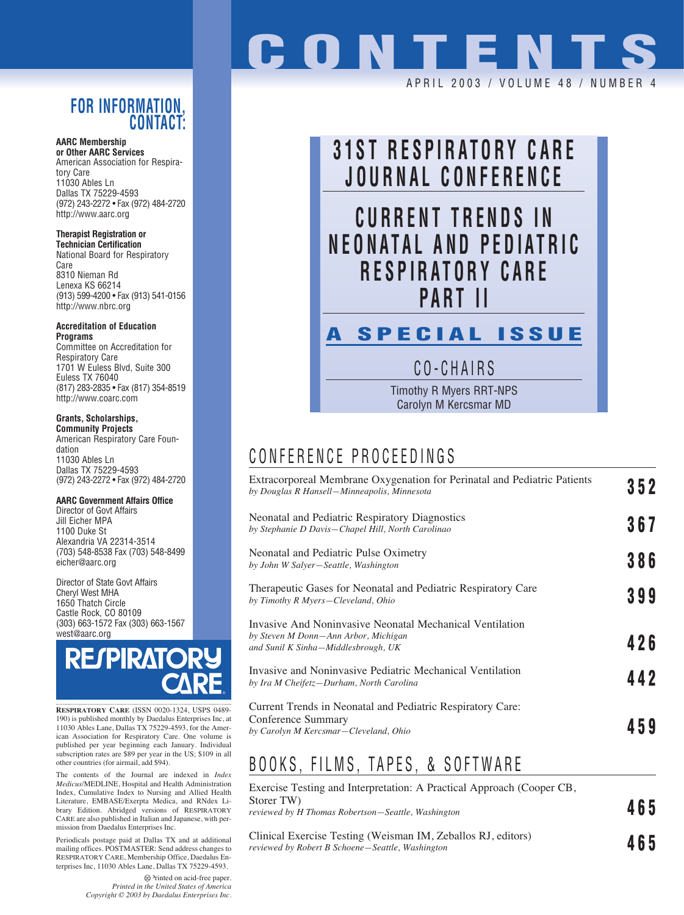### **FOR INFORMATION, CONTACT:**

### **AARC Membership**

**or Other AARC Services** American Association for Respiratory Care 11030 Ables Ln Dallas TX 75229-4593 (972) 243-2272 • Fax (972) 484-2720 http://www.aarc.org

**Therapist Registration or Technician Certification**

National Board for Respiratory Care 8310 Nieman Rd Lenexa KS 66214 (913) 599-4200 • Fax (913) 541-0156 http://www.nbrc.org

**Accreditation of Education Programs**

Committee on Accreditation for Respiratory Care 1701 W Euless Blvd, Suite 300 Euless TX 76040 (817) 283-2835 • Fax (817) 354-8519 http://www.coarc.com

### **Grants, Scholarships,**

**Community Projects** American Respiratory Care Foundation 11030 Ables Ln Dallas TX 75229-4593 (972) 243-2272 • Fax (972) 484-2720

#### **AARC Government Affairs Office**

Director of Govt Affairs Jill Eicher MPA 1100 Duke St Alexandria VA 22314-3514 (703) 548-8538 Fax (703) 548-8499 eicher@aarc.org

Director of State Govt Affairs Cheryl West MHA 1650 Thatch Circle Castle Rock, CO 80109 (303) 663-1572 Fax (303) 663-1567 west@aarc.org



**RESPIRATORY CARE** (ISSN 0020-1324, USPS 0489- 190) is published monthly by Daedalus Enterprises Inc, at 11030 Ables Lane, Dallas TX 75229-4593, for the American Association for Respiratory Care. One volume is published per year beginning each January. Individual subscription rates are \$89 per year in the US; \$109 in all other countries (for airmail, add \$94).

The contents of the Journal are indexed in *Index Medicus*/MEDLINE, Hospital and Health Administration Index, Cumulative Index to Nursing and Allied Health Literature, EMBASE/Exerpta Medica, and RNdex Library Edition. Abridged versions of RESPIRATORY CARE are also published in Italian and Japanese, with permission from Daedalus Enterprises Inc.

Periodicals postage paid at Dallas TX and at additional mailing offices. POSTMASTER: Send address changes to RESPIRATORY CARE, Membership Office, Daedalus Enterprises Inc, 11030 Ables Lane, Dallas TX 75229-4593.

> Printed on acid-free paper. *Printed in the United States of America Copyright © 2003 by Daedalus Enterprises Inc.*

## **CONTENT** APRIL 2003 / VOLUME 48 / NUMBE



CO-CHAIRS

Timothy R Myers RRT-NPS Carolyn M Kercsmar MD

### CONFERENCE PROCEEDINGS

| Extracorporeal Membrane Oxygenation for Perinatal and Pediatric Patients<br>by Douglas R Hansell-Minneapolis, Minnesota                 | 352 |
|-----------------------------------------------------------------------------------------------------------------------------------------|-----|
| Neonatal and Pediatric Respiratory Diagnostics<br>by Stephanie D Davis-Chapel Hill, North Carolinao                                     | 367 |
| Neonatal and Pediatric Pulse Oximetry<br>by John W Salyer-Seattle, Washington                                                           | 386 |
| Therapeutic Gases for Neonatal and Pediatric Respiratory Care<br>by Timothy R Myers-Cleveland, Ohio                                     | 399 |
| Invasive And Noninvasive Neonatal Mechanical Ventilation<br>by Steven M Donn-Ann Arbor, Michigan<br>and Sunil K Sinha–Middlesbrough, UK | 426 |
| Invasive and Noninvasive Pediatric Mechanical Ventilation<br>by Ira M Cheifetz–Durham, North Carolina                                   | 442 |
| Current Trends in Neonatal and Pediatric Respiratory Care:<br>Conference Summary<br>by Carolyn M Kercsmar-Cleveland, Ohio               | 459 |

## BOOKS, FILMS, TAPES, & SOFTWARE

| Exercise Testing and Interpretation: A Practical Approach (Cooper CB,<br>Storer TW<br>reviewed by H Thomas Robertson–Seattle, Washington |  |
|------------------------------------------------------------------------------------------------------------------------------------------|--|
| Clinical Exercise Testing (Weisman IM, Zeballos RI, editors)                                                                             |  |

Testing (Weis *reviewed by Robert B Schoene—Seattle, Washington* **465**